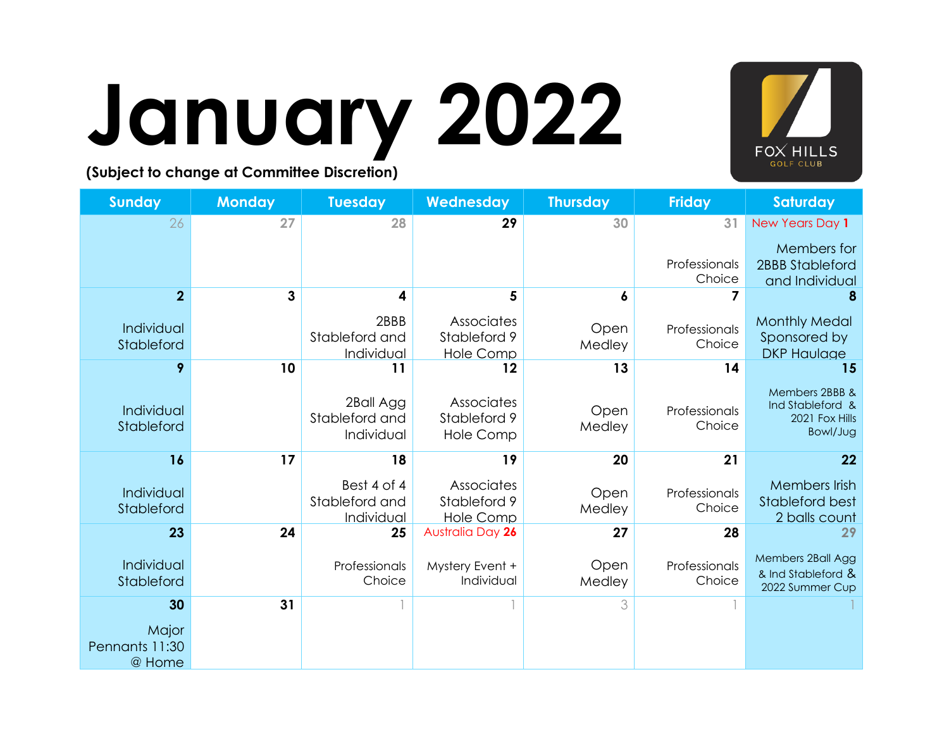

# **January 2022**

| <b>Sunday</b>            | <b>Monday</b> | <b>Tuesday</b>   | Wednesday              | <b>Thursday</b> | <b>Friday</b>           | Saturday                           |
|--------------------------|---------------|------------------|------------------------|-----------------|-------------------------|------------------------------------|
| 26                       | 27            | 28               | 29                     | 30              | 31                      | New Years Day 1                    |
|                          |               |                  |                        |                 |                         | Members for                        |
|                          |               |                  |                        |                 | Professionals           | 2BBB Stableford                    |
| $\overline{2}$           | 3             |                  |                        |                 | Choice                  | and Individual                     |
|                          |               |                  | 5                      | 6               |                         |                                    |
| Individual               |               | 2BBB             | Associates             | Open            | Professionals           | <b>Monthly Medal</b>               |
| Stableford               |               | Stableford and   | Stableford 9           | Medley          | Choice                  | Sponsored by                       |
| 9                        | 10            | Individual<br>11 | <b>Hole Comp</b><br>12 | 13              | 14                      | <b>DKP Haulage</b><br>15           |
|                          |               |                  |                        |                 |                         |                                    |
|                          |               | 2Ball Agg        | Associates             |                 |                         | Members 2BBB &<br>Ind Stableford & |
| Individual<br>Stableford |               | Stableford and   | Stableford 9           | Open<br>Medley  | Professionals<br>Choice | 2021 Fox Hills                     |
|                          |               | Individual       | <b>Hole Comp</b>       |                 |                         | Bowl/Jug                           |
| 16                       | 17            | 18               | 19                     | 20              | 21                      | 22                                 |
|                          |               | Best 4 of 4      | Associates             |                 |                         | Members Irish                      |
| Individual<br>Stableford |               | Stableford and   | Stableford 9           | Open<br>Medley  | Professionals<br>Choice | <b>Stableford best</b>             |
|                          |               | Individual       | Hole Comp              |                 |                         | 2 balls count                      |
| 23                       | 24            | 25               | Australia Day 26       | 27              | 28                      | 29                                 |
| Individual               |               | Professionals    | Mystery Event +        | Open            | Professionals           | Members 2Ball Agg                  |
| Stableford               |               | Choice           | Individual             | Medley          | Choice                  | & Ind Stableford &                 |
| 30                       | 31            |                  |                        | 3               |                         | 2022 Summer Cup                    |
|                          |               |                  |                        |                 |                         |                                    |
| Major                    |               |                  |                        |                 |                         |                                    |
| Pennants 11:30<br>@ Home |               |                  |                        |                 |                         |                                    |
|                          |               |                  |                        |                 |                         |                                    |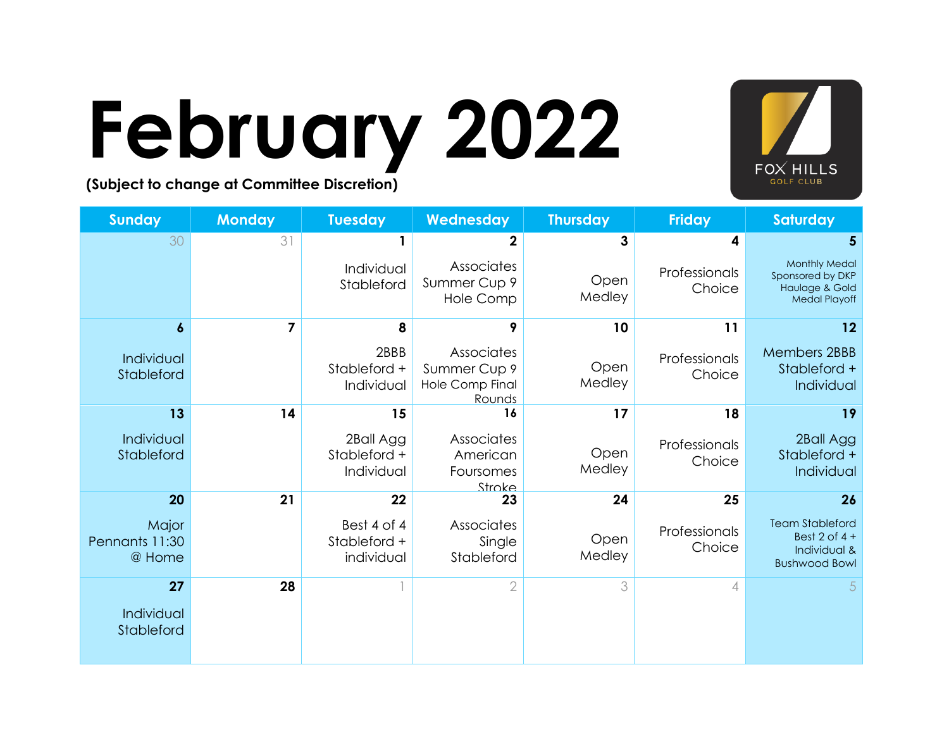

### **February 2022**

| <b>Sunday</b>                     | <b>Monday</b> | <b>Tuesday</b>                            | Wednesday                                                      | <b>Thursday</b> | <b>Friday</b>           | <b>Saturday</b>                                                                     |
|-----------------------------------|---------------|-------------------------------------------|----------------------------------------------------------------|-----------------|-------------------------|-------------------------------------------------------------------------------------|
| 30                                | 31            |                                           | $\mathbf{2}$                                                   | 3               | 4                       |                                                                                     |
|                                   |               | Individual<br>Stableford                  | Associates<br>Summer Cup 9<br>Hole Comp                        | Open<br>Medley  | Professionals<br>Choice | <b>Monthly Medal</b><br>Sponsored by DKP<br>Haulage & Gold<br><b>Medal Playoff</b>  |
| $\boldsymbol{6}$                  | 7             | 8                                         | 9                                                              | 10 <sup>°</sup> | 11                      | 12                                                                                  |
| Individual<br>Stableford          |               | 2BBB<br>Stableford +<br>Individual        | Associates<br>Summer Cup 9<br><b>Hole Comp Final</b><br>Rounds | Open<br>Medley  | Professionals<br>Choice | <b>Members 2BBB</b><br>Stableford +<br>Individual                                   |
| 13                                | 14            | 15                                        | 16                                                             | 17              | 18                      | 19                                                                                  |
| Individual<br>Stableford          |               | 2Ball Agg<br>Stableford +<br>Individual   | Associates<br>American<br>Foursomes<br>Stroke                  | Open<br>Medley  | Professionals<br>Choice | 2Ball Agg<br>Stableford +<br>Individual                                             |
| 20                                | 21            | 22                                        | 23                                                             | 24              | 25                      | 26                                                                                  |
| Major<br>Pennants 11:30<br>@ Home |               | Best 4 of 4<br>Stableford +<br>individual | Associates<br>Single<br>Stableford                             | Open<br>Medley  | Professionals<br>Choice | <b>Team Stableford</b><br>Best $2$ of $4 +$<br>Individual &<br><b>Bushwood Bowl</b> |
| 27<br>Individual<br>Stableford    | 28            |                                           | $\overline{2}$                                                 | 3               | 4                       | 5                                                                                   |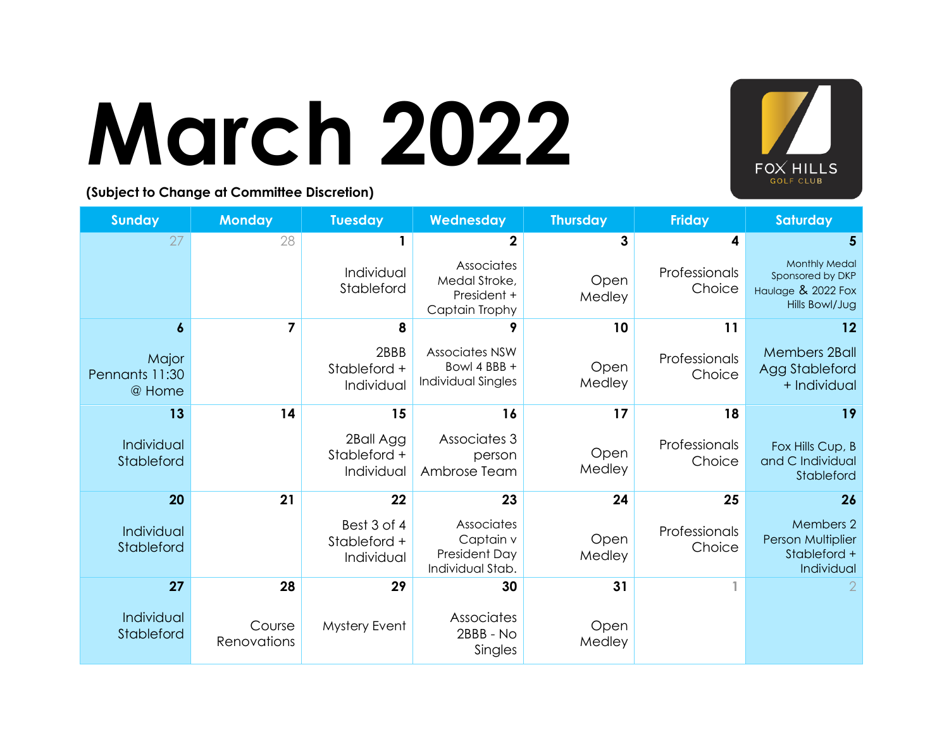

### **March 2022**

| <b>Sunday</b>                     | <b>Monday</b>         | <b>Tuesday</b>                            | Wednesday                                                    | <b>Thursday</b> | <b>Friday</b>           | Saturday                                                                         |
|-----------------------------------|-----------------------|-------------------------------------------|--------------------------------------------------------------|-----------------|-------------------------|----------------------------------------------------------------------------------|
| 27                                | 28                    |                                           | $\mathbf{2}$                                                 | 3               | 4                       | 5                                                                                |
|                                   |                       | Individual<br>Stableford                  | Associates<br>Medal Stroke,<br>President +<br>Captain Trophy | Open<br>Medley  | Professionals<br>Choice | <b>Monthly Medal</b><br>Sponsored by DKP<br>Haulage & 2022 Fox<br>Hills Bowl/Jug |
| 6                                 | $\overline{7}$        | 8                                         | 9                                                            | 10              | 11                      | 12                                                                               |
| Major<br>Pennants 11:30<br>@ Home |                       | 2BBB<br>Stableford +<br>Individual        | <b>Associates NSW</b><br>Bowl 4 BBB +<br>Individual Singles  | Open<br>Medley  | Professionals<br>Choice | <b>Members 2Ball</b><br>Agg Stableford<br>+ Individual                           |
| 13                                | 14                    | 15                                        | 16                                                           | 17              | 18                      | 19                                                                               |
| Individual<br>Stableford          |                       | 2Ball Agg<br>Stableford +<br>Individual   | Associates 3<br>person<br>Ambrose Team                       | Open<br>Medley  | Professionals<br>Choice | Fox Hills Cup, B<br>and C Individual<br>Stableford                               |
| 20                                | 21                    | 22                                        | 23                                                           | 24              | 25                      | 26                                                                               |
| Individual<br>Stableford          |                       | Best 3 of 4<br>Stableford +<br>Individual | Associates<br>Captain v<br>President Day<br>Individual Stab. | Open<br>Medley  | Professionals<br>Choice | Members 2<br>Person Multiplier<br>Stableford +<br>Individual                     |
| 27                                | 28                    | 29                                        | 30                                                           | 31              |                         |                                                                                  |
| Individual<br>Stableford          | Course<br>Renovations | Mystery Event                             | Associates<br>2BBB - No<br>Singles                           | Open<br>Medley  |                         |                                                                                  |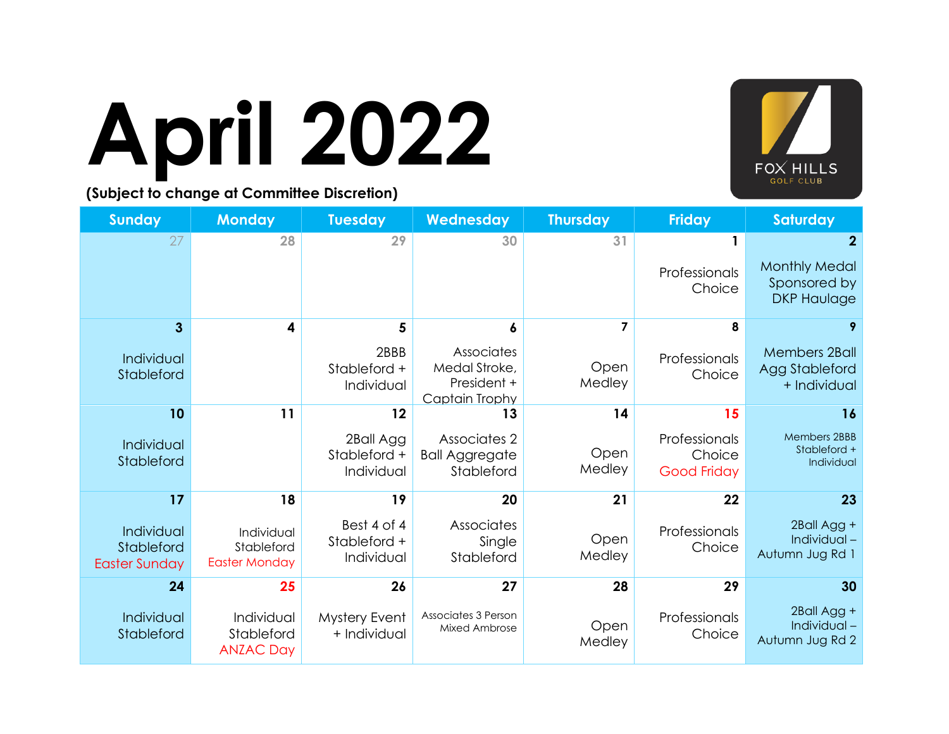

## **April 2022**

| <b>Sunday</b>                                    | <b>Monday</b>                                    | <b>Tuesday</b>                            | Wednesday                                                    | <b>Thursday</b> | <b>Friday</b>                                 | Saturday                                                                   |
|--------------------------------------------------|--------------------------------------------------|-------------------------------------------|--------------------------------------------------------------|-----------------|-----------------------------------------------|----------------------------------------------------------------------------|
| 27                                               | 28                                               | 29                                        | 30                                                           | 31              | Professionals<br>Choice                       | $\mathbf{2}$<br><b>Monthly Medal</b><br>Sponsored by<br><b>DKP Haulage</b> |
| 3                                                | 4                                                | 5                                         | 6                                                            | 7               | 8                                             | 9                                                                          |
| Individual<br>Stableford                         |                                                  | 2BBB<br>Stableford +<br>Individual        | Associates<br>Medal Stroke,<br>President +<br>Captain Trophy | Open<br>Medley  | Professionals<br>Choice                       | <b>Members 2Ball</b><br>Agg Stableford<br>+ Individual                     |
| 10                                               | 11                                               | 12                                        | 13                                                           | 14              | 15                                            | 16                                                                         |
| Individual<br>Stableford                         |                                                  | 2Ball Agg<br>Stableford +<br>Individual   | Associates 2<br><b>Ball Aggregate</b><br>Stableford          | Open<br>Medley  | Professionals<br>Choice<br><b>Good Friday</b> | <b>Members 2BBB</b><br>Stableford +<br>Individual                          |
| 17                                               | 18                                               | 19                                        | 20                                                           | 21              | 22                                            | 23                                                                         |
| Individual<br>Stableford<br><b>Easter Sunday</b> | Individual<br>Stableford<br><b>Easter Monday</b> | Best 4 of 4<br>Stableford +<br>Individual | Associates<br>Single<br>Stableford                           | Open<br>Medley  | Professionals<br>Choice                       | 2Ball Agg +<br>Individual-<br>Autumn Jug Rd 1                              |
| 24                                               | 25                                               | 26                                        | 27                                                           | 28              | 29                                            | 30                                                                         |
| Individual<br>Stableford                         | Individual<br>Stableford<br><b>ANZAC Day</b>     | Mystery Event<br>+ Individual             | Associates 3 Person<br>Mixed Ambrose                         | Open<br>Medley  | Professionals<br>Choice                       | 2Ball Agg +<br>Individual-<br>Autumn Jug Rd 2                              |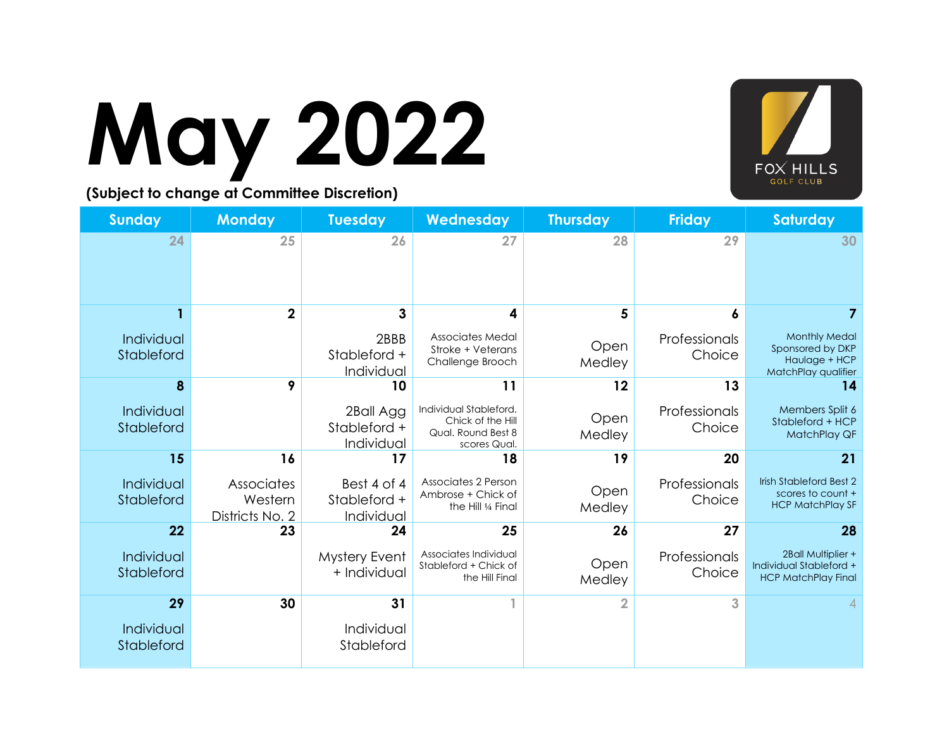

## **May 2022**

| <b>Sunday</b>            | <b>Monday</b>                            | <b>Tuesday</b>                            | Wednesday                                                                         | <b>Thursday</b> | <b>Friday</b>           | <b>Saturday</b>                                                                  |
|--------------------------|------------------------------------------|-------------------------------------------|-----------------------------------------------------------------------------------|-----------------|-------------------------|----------------------------------------------------------------------------------|
| 24                       | 25                                       | 26                                        | 27                                                                                | 28              | 29                      | 30                                                                               |
|                          | $\overline{\mathbf{2}}$                  | 3                                         | 4                                                                                 | 5               | 6                       |                                                                                  |
| Individual<br>Stableford |                                          | 2BBB<br>Stableford +<br>Individual        | Associates Medal<br>Stroke + Veterans<br>Challenge Brooch                         | Open<br>Medley  | Professionals<br>Choice | <b>Monthly Medal</b><br>Sponsored by DKP<br>Haulage + HCP<br>MatchPlay qualifier |
| 8                        | 9                                        | 10                                        | 11                                                                                | 12              | 13                      | 14                                                                               |
| Individual<br>Stableford |                                          | 2Ball Agg<br>Stableford +<br>Individual   | Individual Stableford.<br>Chick of the Hill<br>Qual. Round Best 8<br>scores Qual. | Open<br>Medley  | Professionals<br>Choice | Members Split 6<br>Stableford + HCP<br>MatchPlay QF                              |
| 15                       | 16                                       | 17                                        | 18                                                                                | 19              | 20                      | 21                                                                               |
| Individual<br>Stableford | Associates<br>Western<br>Districts No. 2 | Best 4 of 4<br>Stableford +<br>Individual | Associates 2 Person<br>Ambrose + Chick of<br>the Hill 1/4 Final                   | Open<br>Medley  | Professionals<br>Choice | <b>Irish Stableford Best 2</b><br>scores to count +<br><b>HCP MatchPlay SF</b>   |
| 22                       | 23                                       | 24                                        | 25                                                                                | 26              | 27                      | 28                                                                               |
| Individual<br>Stableford |                                          | <b>Mystery Event</b><br>+ Individual      | Associates Individual<br>Stableford + Chick of<br>the Hill Final                  | Open<br>Medley  | Professionals<br>Choice | 2Ball Multiplier +<br>Individual Stableford +<br><b>HCP MatchPlay Final</b>      |
| 29                       | 30                                       | 31                                        |                                                                                   | 2               | 3                       |                                                                                  |
| Individual<br>Stableford |                                          | Individual<br>Stableford                  |                                                                                   |                 |                         |                                                                                  |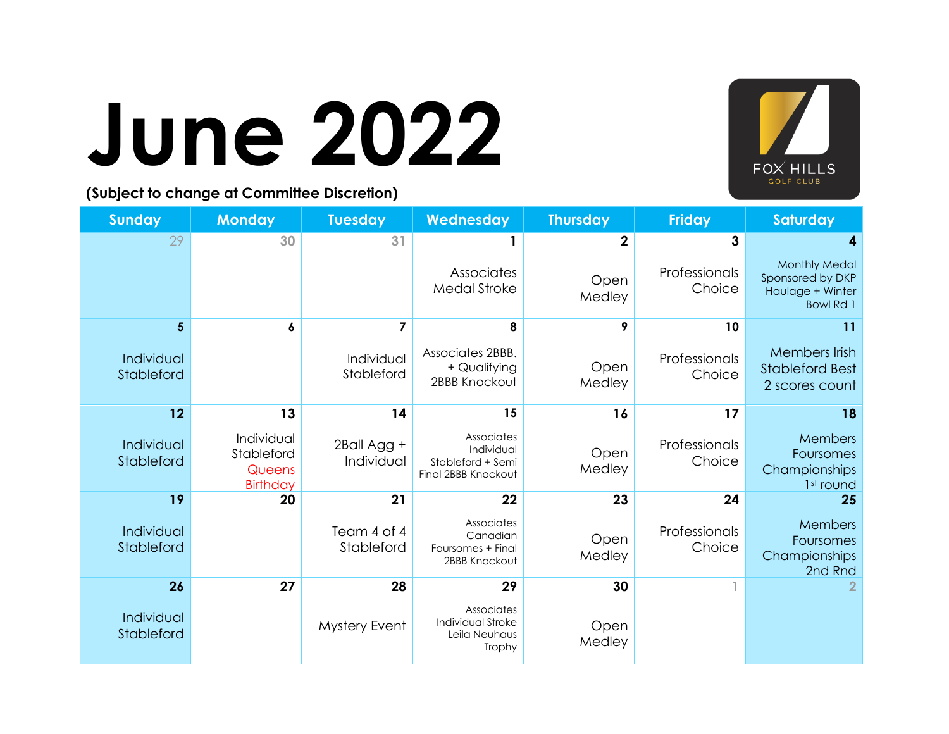

### **June 2022**

| <b>Sunday</b>            | <b>Monday</b>                                         | <b>Tuesday</b>            | Wednesday                                                            | <b>Thursday</b> | <b>Friday</b>           | <b>Saturday</b>                                                                  |
|--------------------------|-------------------------------------------------------|---------------------------|----------------------------------------------------------------------|-----------------|-------------------------|----------------------------------------------------------------------------------|
| 29                       | 30                                                    | 31                        |                                                                      | 2               | 3                       | 4                                                                                |
|                          |                                                       |                           | Associates<br><b>Medal Stroke</b>                                    | Open<br>Medley  | Professionals<br>Choice | <b>Monthly Medal</b><br>Sponsored by DKP<br>Haulage + Winter<br><b>Bowl Rd 1</b> |
| 5                        | 6                                                     | 7                         | 8                                                                    | 9               | 10                      | 11                                                                               |
| Individual<br>Stableford |                                                       | Individual<br>Stableford  | Associates 2BBB.<br>+ Qualifying<br>2BBB Knockout                    | Open<br>Medley  | Professionals<br>Choice | Members Irish<br><b>Stableford Best</b><br>2 scores count                        |
| 12                       | 13                                                    | 14                        | 15                                                                   | 16              | 17                      | 18                                                                               |
| Individual<br>Stableford | Individual<br>Stableford<br>Queens<br><b>Birthday</b> | 2Ball Agg +<br>Individual | Associates<br>Individual<br>Stableford + Semi<br>Final 2BBB Knockout | Open<br>Medley  | Professionals<br>Choice | Members<br>Foursomes<br>Championships<br>1st round                               |
| 19                       | 20                                                    | 21                        | 22                                                                   | 23              | 24                      | 25                                                                               |
| Individual<br>Stableford |                                                       | Team 4 of 4<br>Stableford | Associates<br>Canadian<br>Foursomes + Final<br>2BBB Knockout         | Open<br>Medley  | Professionals<br>Choice | Members<br>Foursomes<br>Championships<br>2nd Rnd                                 |
| 26                       | 27                                                    | 28                        | 29                                                                   | 30              |                         |                                                                                  |
| Individual<br>Stableford |                                                       | Mystery Event             | Associates<br>Individual Stroke<br>Leila Neuhaus<br>Trophy           | Open<br>Medley  |                         |                                                                                  |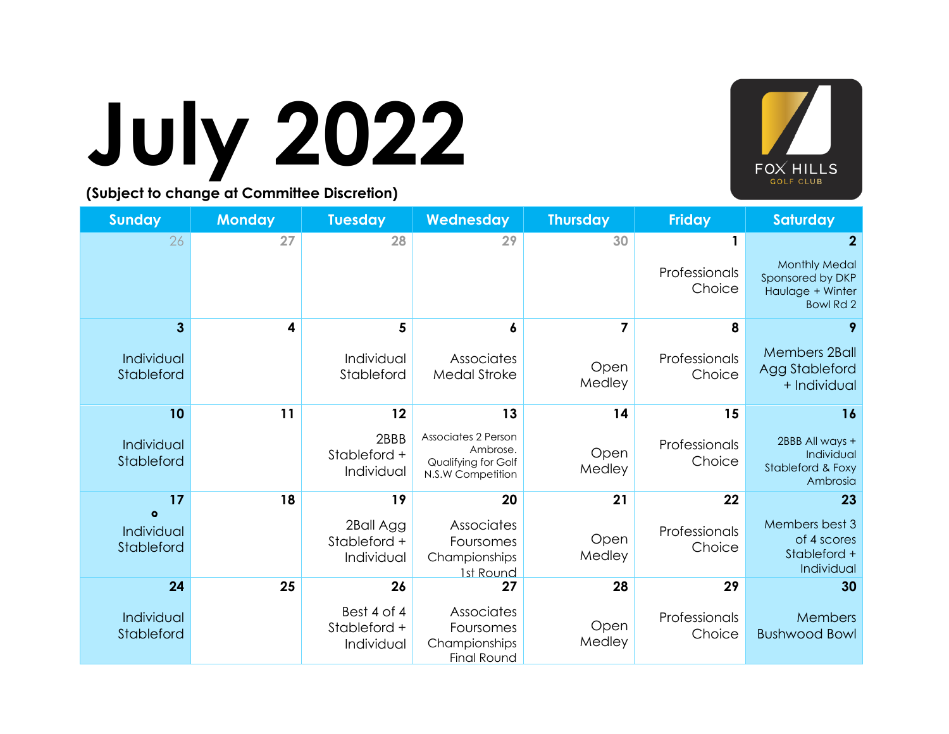## **July 2022**



| <b>Sunday</b>            | <b>Monday</b> | <b>Tuesday</b>                            | Wednesday                                                                   | <b>Thursday</b> | <b>Friday</b>           | <b>Saturday</b>                                                                  |
|--------------------------|---------------|-------------------------------------------|-----------------------------------------------------------------------------|-----------------|-------------------------|----------------------------------------------------------------------------------|
| 26                       | 27            | 28                                        | 29                                                                          | 30              |                         | $\mathbf{2}$                                                                     |
|                          |               |                                           |                                                                             |                 | Professionals<br>Choice | <b>Monthly Medal</b><br>Sponsored by DKP<br>Haulage + Winter<br><b>Bowl Rd 2</b> |
| 3                        | 4             | 5                                         | 6                                                                           | $\overline{7}$  | 8                       | 9                                                                                |
| Individual<br>Stableford |               | Individual<br>Stableford                  | Associates<br><b>Medal Stroke</b>                                           | Open<br>Medley  | Professionals<br>Choice | <b>Members 2Ball</b><br>Agg Stableford<br>+ Individual                           |
| 10                       | 11            | 12                                        | 13                                                                          | 14              | 15                      | 16                                                                               |
| Individual<br>Stableford |               | 2BBB<br>Stableford +<br>Individual        | Associates 2 Person<br>Ambrose.<br>Qualifying for Golf<br>N.S.W Competition | Open<br>Medley  | Professionals<br>Choice | 2BBB All ways +<br>Individual<br>Stableford & Foxy<br>Ambrosia                   |
| 17<br>$\bullet$          | 18            | 19                                        | 20                                                                          | 21              | 22                      | 23                                                                               |
| Individual<br>Stableford |               | 2Ball Agg<br>Stableford +<br>Individual   | Associates<br>Foursomes<br>Championships<br>1st Round                       | Open<br>Medley  | Professionals<br>Choice | Members best 3<br>of 4 scores<br>Stableford +<br>Individual                      |
| 24                       | 25            | 26                                        | 27                                                                          | 28              | 29                      | 30                                                                               |
| Individual<br>Stableford |               | Best 4 of 4<br>Stableford +<br>Individual | Associates<br>Foursomes<br>Championships<br><b>Final Round</b>              | Open<br>Medley  | Professionals<br>Choice | Members<br><b>Bushwood Bowl</b>                                                  |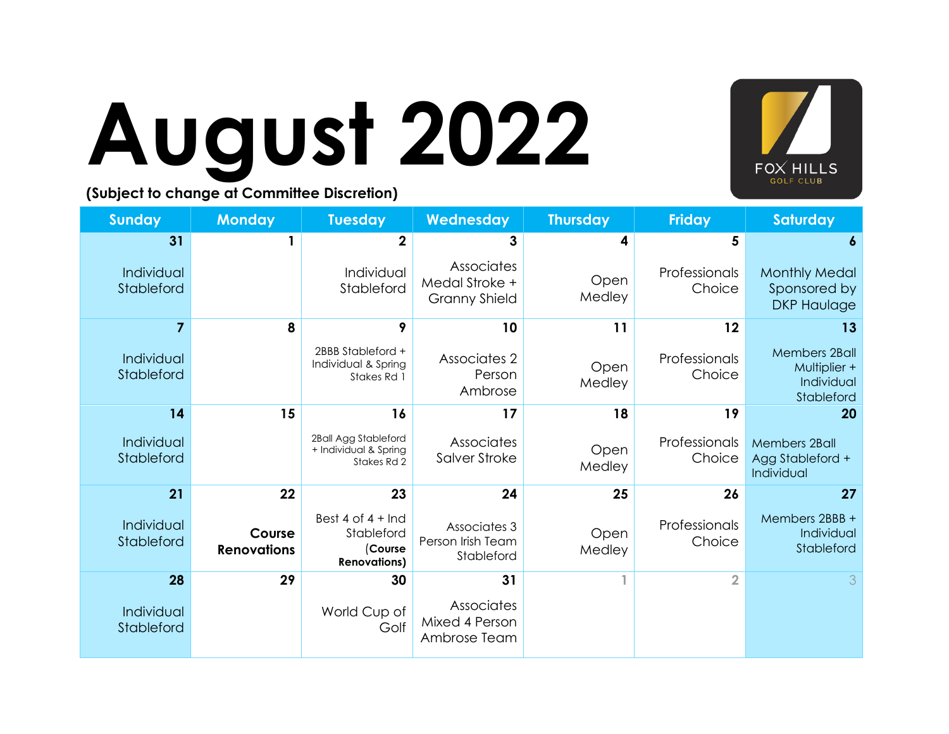

# **August 2022**

| <b>Sunday</b>            | <b>Monday</b>                | <b>Tuesday</b>                                                      | Wednesday                                            | <b>Thursday</b> | <b>Friday</b>           | <b>Saturday</b>                                                  |
|--------------------------|------------------------------|---------------------------------------------------------------------|------------------------------------------------------|-----------------|-------------------------|------------------------------------------------------------------|
| 31                       |                              | $\overline{2}$                                                      | 3                                                    | 4               | 5                       | 6                                                                |
| Individual<br>Stableford |                              | Individual<br>Stableford                                            | Associates<br>Medal Stroke +<br><b>Granny Shield</b> | Open<br>Medley  | Professionals<br>Choice | <b>Monthly Medal</b><br>Sponsored by<br><b>DKP Haulage</b>       |
| 7                        | 8                            | 9                                                                   | 10                                                   | 11              | 12                      | 13                                                               |
| Individual<br>Stableford |                              | 2BBB Stableford +<br>Individual & Spring<br>Stakes Rd 1             | Associates 2<br>Person<br>Ambrose                    | Open<br>Medley  | Professionals<br>Choice | <b>Members 2Ball</b><br>Multiplier +<br>Individual<br>Stableford |
| 14                       | 15                           | 16                                                                  | 17                                                   | 18              | 19                      | 20                                                               |
| Individual<br>Stableford |                              | 2Ball Agg Stableford<br>+ Individual & Spring<br>Stakes Rd 2        | Associates<br>Salver Stroke                          | Open<br>Medley  | Professionals<br>Choice | <b>Members 2Ball</b><br>Agg Stableford +<br>Individual           |
| 21                       | 22                           | 23                                                                  | 24                                                   | 25              | 26                      | 27                                                               |
| Individual<br>Stableford | Course<br><b>Renovations</b> | Best 4 of $4 +$ Ind<br>Stableford<br>(Course<br><b>Renovations)</b> | Associates 3<br>Person Irish Team<br>Stableford      | Open<br>Medley  | Professionals<br>Choice | Members 2BBB +<br>Individual<br>Stableford                       |
| 28                       | 29                           | 30                                                                  | 31                                                   | 1               | $\overline{2}$          | 3                                                                |
| Individual<br>Stableford |                              | World Cup of<br>Golf                                                | Associates<br>Mixed 4 Person<br>Ambrose Team         |                 |                         |                                                                  |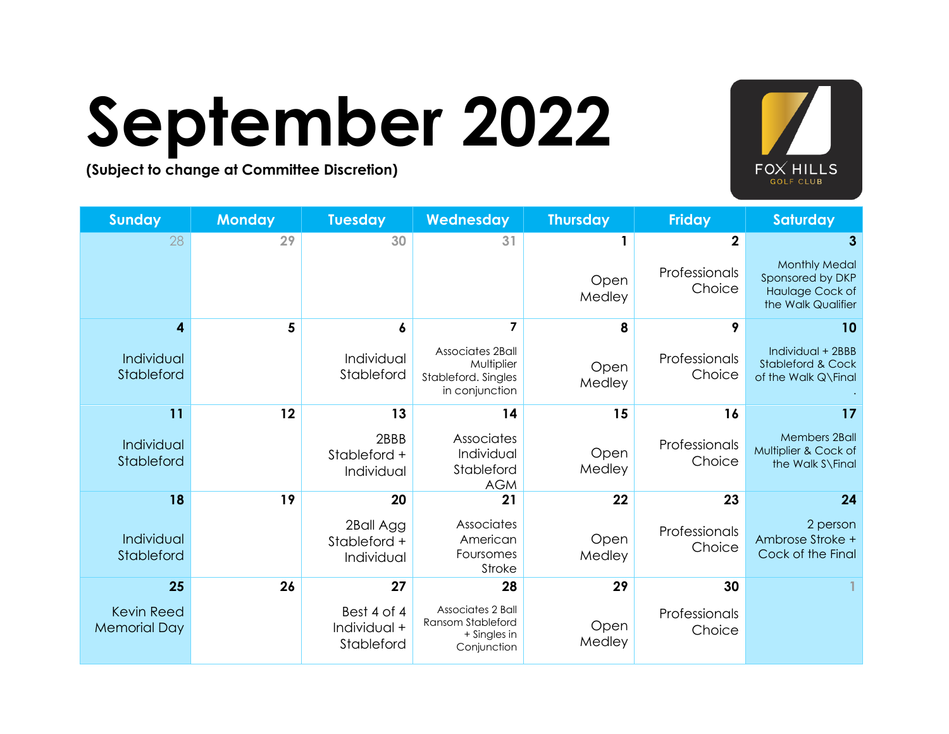

### **September 2022**

| <b>Sunday</b>                            | <b>Monday</b> | <b>Tuesday</b>                            | Wednesday                                                               | <b>Thursday</b> | <b>Friday</b>           | <b>Saturday</b>                                                                   |
|------------------------------------------|---------------|-------------------------------------------|-------------------------------------------------------------------------|-----------------|-------------------------|-----------------------------------------------------------------------------------|
| 28                                       | 29            | 30                                        | 31                                                                      |                 | $\mathbf{2}$            | 3                                                                                 |
|                                          |               |                                           |                                                                         | Open<br>Medley  | Professionals<br>Choice | <b>Monthly Medal</b><br>Sponsored by DKP<br>Haulage Cock of<br>the Walk Qualifier |
| 4                                        | 5             | 6                                         | 7                                                                       | 8               | 9                       | 10                                                                                |
| Individual<br>Stableford                 |               | Individual<br>Stableford                  | Associates 2Ball<br>Multiplier<br>Stableford. Singles<br>in conjunction | Open<br>Medley  | Professionals<br>Choice | Individual + 2BBB<br><b>Stableford &amp; Cock</b><br>of the Walk Q\Final          |
| 11                                       | 12            | 13                                        | 14                                                                      | 15              | 16                      | 17                                                                                |
| Individual<br>Stableford                 |               | 2BBB<br>Stableford +<br>Individual        | Associates<br>Individual<br>Stableford<br><b>AGM</b>                    | Open<br>Medley  | Professionals<br>Choice | Members 2Ball<br>Multiplier & Cock of<br>the Walk S\Final                         |
| 18                                       | 19            | 20                                        | 21                                                                      | 22              | 23                      | 24                                                                                |
| Individual<br>Stableford                 |               | 2Ball Agg<br>Stableford +<br>Individual   | Associates<br>American<br>Foursomes<br>Stroke                           | Open<br>Medley  | Professionals<br>Choice | 2 person<br>Ambrose Stroke +<br>Cock of the Final                                 |
| 25                                       | 26            | 27                                        | 28                                                                      | 29              | 30                      |                                                                                   |
| <b>Kevin Reed</b><br><b>Memorial Day</b> |               | Best 4 of 4<br>Individual +<br>Stableford | Associates 2 Ball<br>Ransom Stableford<br>+ Singles in<br>Conjunction   | Open<br>Medley  | Professionals<br>Choice |                                                                                   |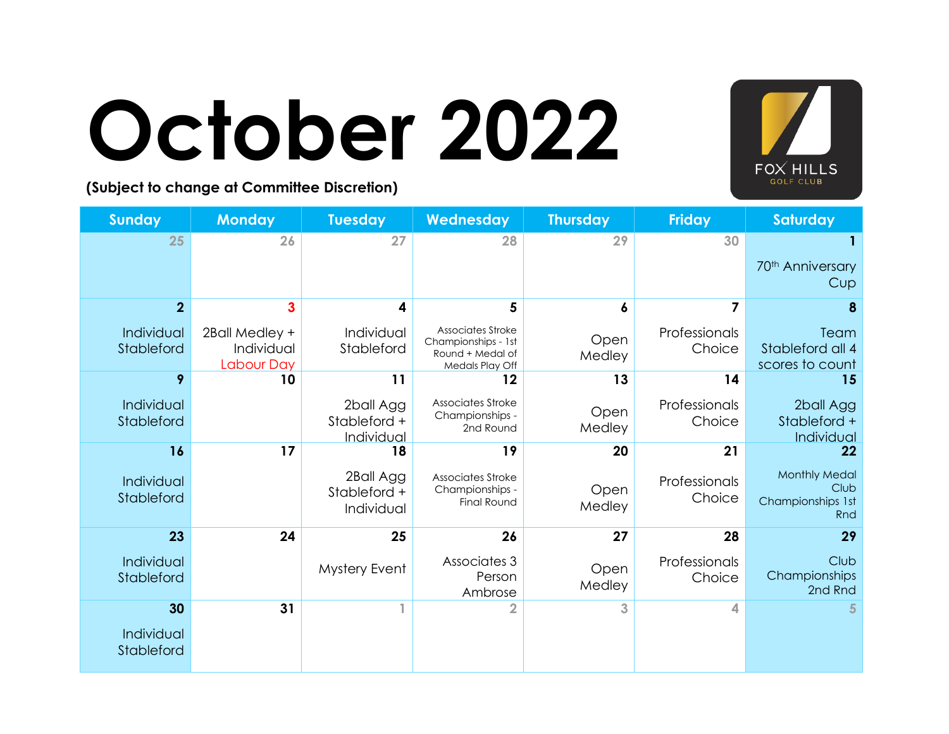

### **October 2022**

| <b>Sunday</b>            | <b>Monday</b>                                     | <b>Tuesday</b>                          | Wednesday                                                                       | <b>Thursday</b> | <b>Friday</b>           | <b>Saturday</b>                                          |
|--------------------------|---------------------------------------------------|-----------------------------------------|---------------------------------------------------------------------------------|-----------------|-------------------------|----------------------------------------------------------|
| 25                       | 26                                                | 27                                      | 28                                                                              | 29              | 30                      |                                                          |
|                          |                                                   |                                         |                                                                                 |                 |                         | 70 <sup>th</sup> Anniversary<br>Cup                      |
| $\overline{2}$           | 3                                                 | 4                                       | 5                                                                               | 6               |                         | 8                                                        |
| Individual<br>Stableford | 2Ball Medley +<br>Individual<br><b>Labour Day</b> | Individual<br>Stableford                | Associates Stroke<br>Championships - 1st<br>Round + Medal of<br>Medals Play Off | Open<br>Medley  | Professionals<br>Choice | Team<br>Stableford all 4<br>scores to count              |
| 9                        | 10                                                | 11                                      | 12                                                                              | 13              | 14                      | 15                                                       |
| Individual<br>Stableford |                                                   | 2ball Agg<br>Stableford +<br>Individual | Associates Stroke<br>Championships -<br>2nd Round                               | Open<br>Medley  | Professionals<br>Choice | 2ball Agg<br>Stableford +<br>Individual                  |
| 16                       | 17                                                | 18                                      | 19                                                                              | 20              | 21                      | 22                                                       |
| Individual<br>Stableford |                                                   | 2Ball Agg<br>Stableford +<br>Individual | Associates Stroke<br>Championships -<br><b>Final Round</b>                      | Open<br>Medley  | Professionals<br>Choice | <b>Monthly Medal</b><br>Club<br>Championships 1st<br>Rnd |
| 23                       | 24                                                | 25                                      | 26                                                                              | 27              | 28                      | 29                                                       |
| Individual<br>Stableford |                                                   | Mystery Event                           | Associates 3<br>Person<br>Ambrose                                               | Open<br>Medley  | Professionals<br>Choice | Club<br>Championships<br>2nd Rnd                         |
| 30                       | 31                                                |                                         | $\overline{2}$                                                                  | 3               | ◢                       |                                                          |
| Individual<br>Stableford |                                                   |                                         |                                                                                 |                 |                         |                                                          |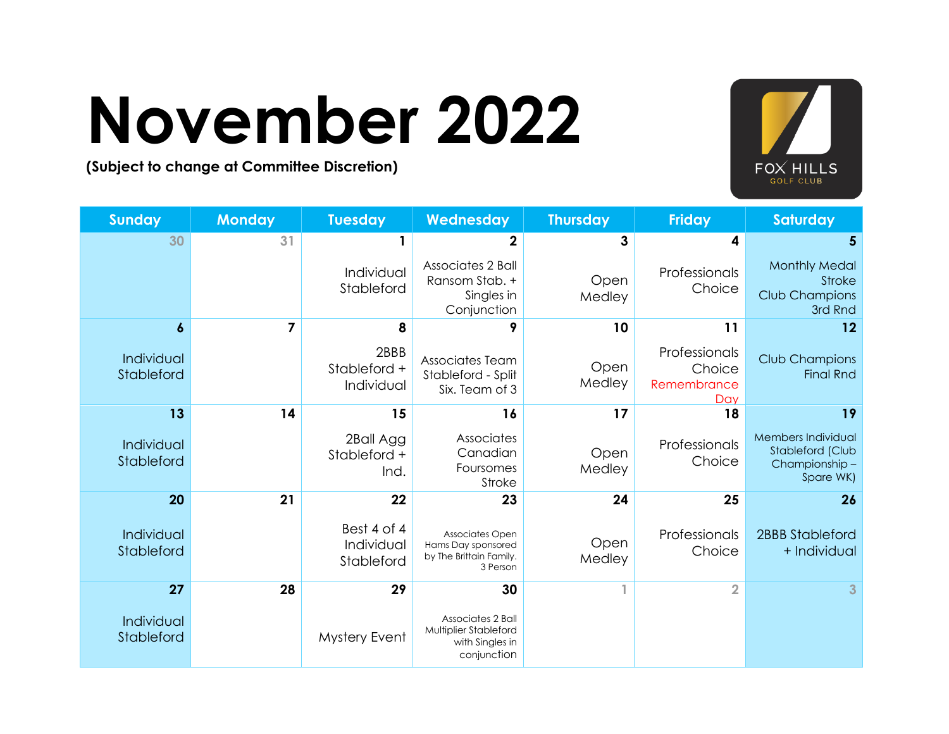### **November 2022**



| <b>Sunday</b>            | <b>Monday</b> | <b>Tuesday</b>                          | Wednesday                                                                    | <b>Thursday</b> | <b>Friday</b>                                 | Saturday                                                             |
|--------------------------|---------------|-----------------------------------------|------------------------------------------------------------------------------|-----------------|-----------------------------------------------|----------------------------------------------------------------------|
| 30                       | 31            |                                         | $\overline{2}$                                                               | 3               | 4                                             | 5                                                                    |
|                          |               | Individual<br>Stableford                | Associates 2 Ball<br>Ransom Stab. +<br>Singles in<br>Conjunction             | Open<br>Medley  | Professionals<br>Choice                       | <b>Monthly Medal</b><br>Stroke<br>Club Champions<br>3rd Rnd          |
| 6                        | 7             | 8                                       | 9                                                                            | 10              | 11                                            | 12                                                                   |
| Individual<br>Stableford |               | 2BBB<br>Stableford +<br>Individual      | Associates Team<br>Stableford - Split<br>Six. Team of 3                      | Open<br>Medley  | Professionals<br>Choice<br>Remembrance<br>Day | Club Champions<br><b>Final Rnd</b>                                   |
| 13                       | 14            | 15                                      | 16                                                                           | 17              | 18                                            | 19                                                                   |
| Individual<br>Stableford |               | 2Ball Agg<br>Stableford +<br>Ind.       | Associates<br>Canadian<br>Foursomes<br>Stroke                                | Open<br>Medley  | Professionals<br>Choice                       | Members Individual<br>Stableford (Club<br>Championship-<br>Spare WK) |
| 20                       | 21            | 22                                      | 23                                                                           | 24              | 25                                            | 26                                                                   |
| Individual<br>Stableford |               | Best 4 of 4<br>Individual<br>Stableford | Associates Open<br>Hams Day sponsored<br>by The Brittain Family.<br>3 Person | Open<br>Medley  | Professionals<br>Choice                       | <b>2BBB Stableford</b><br>+ Individual                               |
| 27                       | 28            | 29                                      | 30                                                                           | 1               | $\overline{2}$                                | 3 <sup>1</sup>                                                       |
| Individual<br>Stableford |               | Mystery Event                           | Associates 2 Ball<br>Multiplier Stableford<br>with Singles in<br>conjunction |                 |                                               |                                                                      |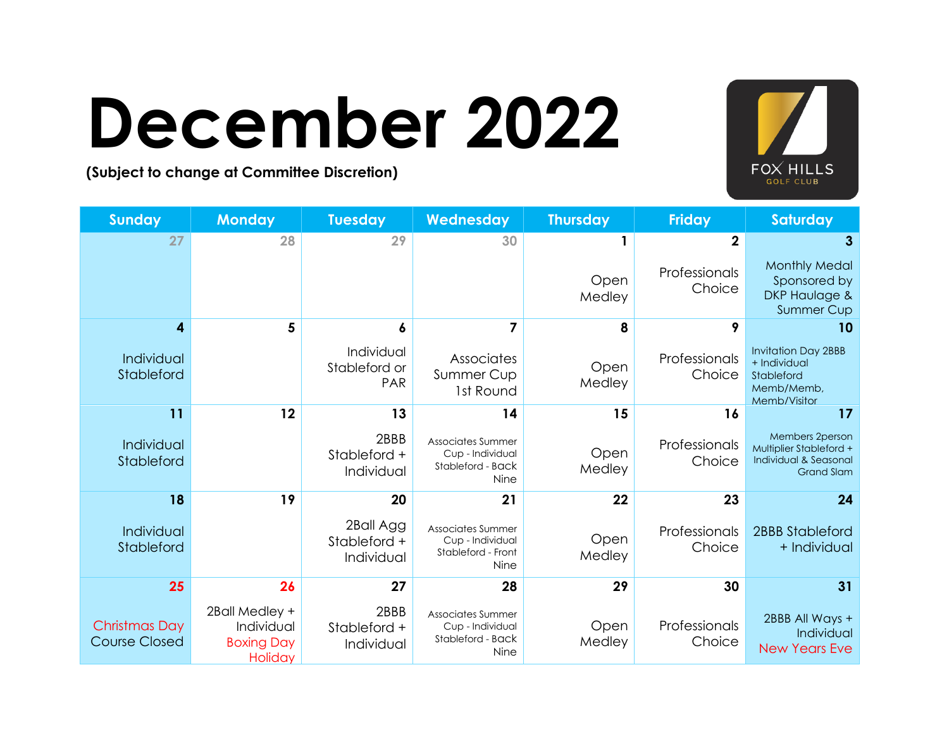### **December 2022 (Subject to change at Committee Discretion)**



| <b>Sunday</b>                                | <b>Monday</b>                                                | <b>Tuesday</b>                            | Wednesday                                                           | <b>Thursday</b> | <b>Friday</b>           | Saturday                                                                                 |
|----------------------------------------------|--------------------------------------------------------------|-------------------------------------------|---------------------------------------------------------------------|-----------------|-------------------------|------------------------------------------------------------------------------------------|
| 27                                           | 28                                                           | 29                                        | 30                                                                  |                 | $\mathbf{2}$            | 3                                                                                        |
|                                              |                                                              |                                           |                                                                     | Open<br>Medley  | Professionals<br>Choice | <b>Monthly Medal</b><br>Sponsored by<br><b>DKP Haulage &amp;</b><br><b>Summer Cup</b>    |
| 4                                            | 5                                                            |                                           | 7                                                                   | 8               |                         | 10                                                                                       |
| Individual<br>Stableford                     |                                                              | Individual<br>Stableford or<br><b>PAR</b> | Associates<br>Summer Cup<br>1st Round                               | Open<br>Medley  | Professionals<br>Choice | <b>Invitation Day 2BBB</b><br>+ Individual<br>Stableford<br>Memb/Memb,<br>Memb/Visitor   |
| 11                                           | 12                                                           | 13                                        | 14                                                                  | 15              | 16                      | 17                                                                                       |
| Individual<br>Stableford                     |                                                              | 2BBB<br>Stableford +<br>Individual        | Associates Summer<br>Cup - Individual<br>Stableford - Back<br>Nine  | Open<br>Medley  | Professionals<br>Choice | Members 2person<br>Multiplier Stableford +<br>Individual & Seasonal<br><b>Grand Slam</b> |
| 18                                           | 19                                                           | 20                                        | 21                                                                  | 22              | 23                      | 24                                                                                       |
| Individual<br>Stableford                     |                                                              | 2Ball Agg<br>Stableford +<br>Individual   | Associates Summer<br>Cup - Individual<br>Stableford - Front<br>Nine | Open<br>Medley  | Professionals<br>Choice | <b>2BBB Stableford</b><br>+ Individual                                                   |
| 25                                           | 26                                                           | 27                                        | 28                                                                  | 29              | 30                      | 31                                                                                       |
| <b>Christmas Day</b><br><b>Course Closed</b> | 2Ball Medley +<br>Individual<br><b>Boxing Day</b><br>Holiday | 2BBB<br>Stableford +<br>Individual        | Associates Summer<br>Cup - Individual<br>Stableford - Back<br>Nine  | Open<br>Medley  | Professionals<br>Choice | 2BBB All Ways +<br>Individual<br><b>New Years Eve</b>                                    |